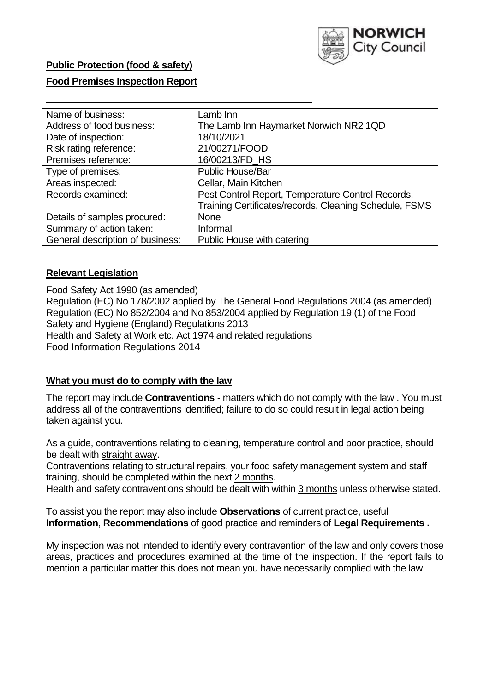

## **Public Protection (food & safety)**

### **Food Premises Inspection Report**

| Name of business:                | Lamb Inn                                               |
|----------------------------------|--------------------------------------------------------|
| Address of food business:        | The Lamb Inn Haymarket Norwich NR2 1QD                 |
| Date of inspection:              | 18/10/2021                                             |
| Risk rating reference:           | 21/00271/FOOD                                          |
| Premises reference:              | 16/00213/FD_HS                                         |
| Type of premises:                | <b>Public House/Bar</b>                                |
| Areas inspected:                 | Cellar, Main Kitchen                                   |
| Records examined:                | Pest Control Report, Temperature Control Records,      |
|                                  | Training Certificates/records, Cleaning Schedule, FSMS |
| Details of samples procured:     | <b>None</b>                                            |
| Summary of action taken:         | Informal                                               |
| General description of business: | Public House with catering                             |

### **Relevant Legislation**

 Food Safety Act 1990 (as amended) Regulation (EC) No 178/2002 applied by The General Food Regulations 2004 (as amended) Regulation (EC) No 852/2004 and No 853/2004 applied by Regulation 19 (1) of the Food Safety and Hygiene (England) Regulations 2013 Health and Safety at Work etc. Act 1974 and related regulations Food Information Regulations 2014

### **What you must do to comply with the law**

 The report may include **Contraventions** - matters which do not comply with the law . You must address all of the contraventions identified; failure to do so could result in legal action being taken against you.

 As a guide, contraventions relating to cleaning, temperature control and poor practice, should be dealt with straight away.

 Contraventions relating to structural repairs, your food safety management system and staff training, should be completed within the next 2 months.

Health and safety contraventions should be dealt with within 3 months unless otherwise stated.

 To assist you the report may also include **Observations** of current practice, useful **Information**, **Recommendations** of good practice and reminders of **Legal Requirements .** 

 My inspection was not intended to identify every contravention of the law and only covers those areas, practices and procedures examined at the time of the inspection. If the report fails to mention a particular matter this does not mean you have necessarily complied with the law.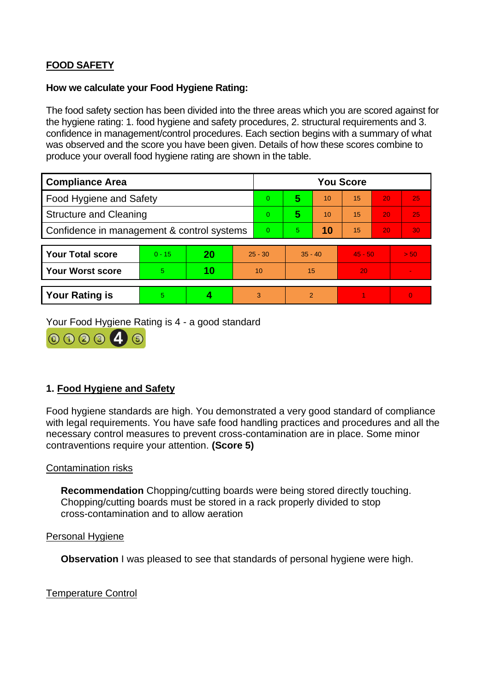# **FOOD SAFETY**

#### **How we calculate your Food Hygiene Rating:**

 The food safety section has been divided into the three areas which you are scored against for the hygiene rating: 1. food hygiene and safety procedures, 2. structural requirements and 3. confidence in management/control procedures. Each section begins with a summary of what was observed and the score you have been given. Details of how these scores combine to produce your overall food hygiene rating are shown in the table.

| <b>Compliance Area</b>                     |          |    |           | <b>You Score</b> |                |    |           |    |                |  |  |
|--------------------------------------------|----------|----|-----------|------------------|----------------|----|-----------|----|----------------|--|--|
| Food Hygiene and Safety                    |          |    |           | $\Omega$         | 5              | 10 | 15        | 20 | 25             |  |  |
| <b>Structure and Cleaning</b>              |          |    | $\Omega$  | 5                | 10             | 15 | 20        | 25 |                |  |  |
| Confidence in management & control systems |          |    | $\Omega$  | $\overline{5}$   | 10             | 15 | 20        | 30 |                |  |  |
|                                            |          |    |           |                  |                |    |           |    |                |  |  |
| <b>Your Total score</b>                    | $0 - 15$ | 20 | $25 - 30$ |                  | $35 - 40$      |    | $45 - 50$ |    | > 50           |  |  |
| Your Worst score                           | 5.       | 10 | 10        |                  | 15             |    | 20        |    | $\blacksquare$ |  |  |
|                                            |          |    |           |                  |                |    |           |    |                |  |  |
| <b>Your Rating is</b>                      | 5        |    |           | 3                | $\overline{2}$ |    |           |    | $\Omega$       |  |  |

Your Food Hygiene Rating is 4 - a good standard



## **1. Food Hygiene and Safety**

 with legal requirements. You have safe food handling practices and procedures and all the Food hygiene standards are high. You demonstrated a very good standard of compliance necessary control measures to prevent cross-contamination are in place. Some minor contraventions require your attention. **(Score 5)** 

### Contamination risks

 Chopping/cutting boards must be stored in a rack properly divided to stop **Recommendation** Chopping/cutting boards were being stored directly touching. cross-contamination and to allow aeration

#### Personal Hygiene

**Observation** I was pleased to see that standards of personal hygiene were high.

Temperature Control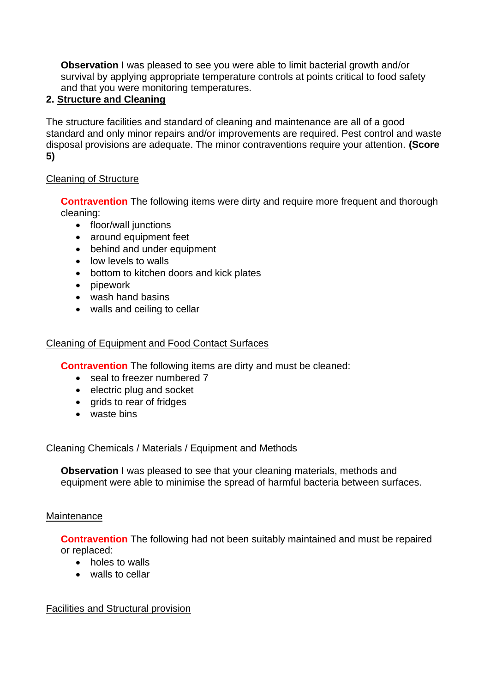**Observation** I was pleased to see you were able to limit bacterial growth and/or survival by applying appropriate temperature controls at points critical to food safety and that you were monitoring temperatures.

# **2. Structure and Cleaning**

 The structure facilities and standard of cleaning and maintenance are all of a good standard and only minor repairs and/or improvements are required. Pest control and waste disposal provisions are adequate. The minor contraventions require your attention. **(Score 5)** 

## Cleaning of Structure

**Contravention** The following items were dirty and require more frequent and thorough cleaning:

- floor/wall junctions
- around equipment feet
- behind and under equipment
- low levels to walls
- bottom to kitchen doors and kick plates
- pipework
- wash hand basins
- walls and ceiling to cellar

## Cleaning of Equipment and Food Contact Surfaces

**Contravention** The following items are dirty and must be cleaned:

- seal to freezer numbered 7
- electric plug and socket
- grids to rear of fridges
- waste bins

### Cleaning Chemicals / Materials / Equipment and Methods

**Observation** I was pleased to see that your cleaning materials, methods and equipment were able to minimise the spread of harmful bacteria between surfaces.

### **Maintenance**

**Contravention** The following had not been suitably maintained and must be repaired or replaced:

- holes to walls
- walls to cellar

### Facilities and Structural provision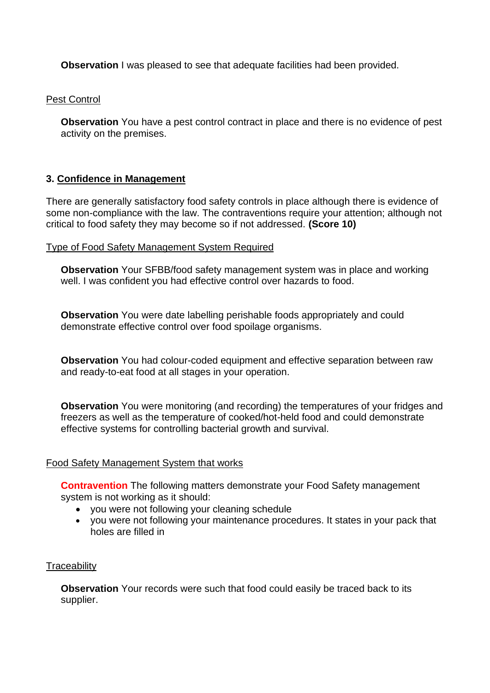**Observation** I was pleased to see that adequate facilities had been provided.

Pest Control

 **Observation** You have a pest control contract in place and there is no evidence of pest activity on the premises.

## **3. Confidence in Management**

 There are generally satisfactory food safety controls in place although there is evidence of some non-compliance with the law. The contraventions require your attention; although not critical to food safety they may become so if not addressed. **(Score 10)** 

#### Type of Food Safety Management System Required

**Observation** Your SFBB/food safety management system was in place and working well. I was confident you had effective control over hazards to food.

 demonstrate effective control over food spoilage organisms. **Observation** You were date labelling perishable foods appropriately and could

**Observation** You had colour-coded equipment and effective separation between raw and ready-to-eat food at all stages in your operation.

**Observation** You were monitoring (and recording) the temperatures of your fridges and freezers as well as the temperature of cooked/hot-held food and could demonstrate effective systems for controlling bacterial growth and survival.

#### Food Safety Management System that works

**Contravention** The following matters demonstrate your Food Safety management system is not working as it should:

- you were not following your cleaning schedule
- you were not following your maintenance procedures. It states in your pack that holes are filled in

### **Traceability**

**Observation** Your records were such that food could easily be traced back to its supplier.